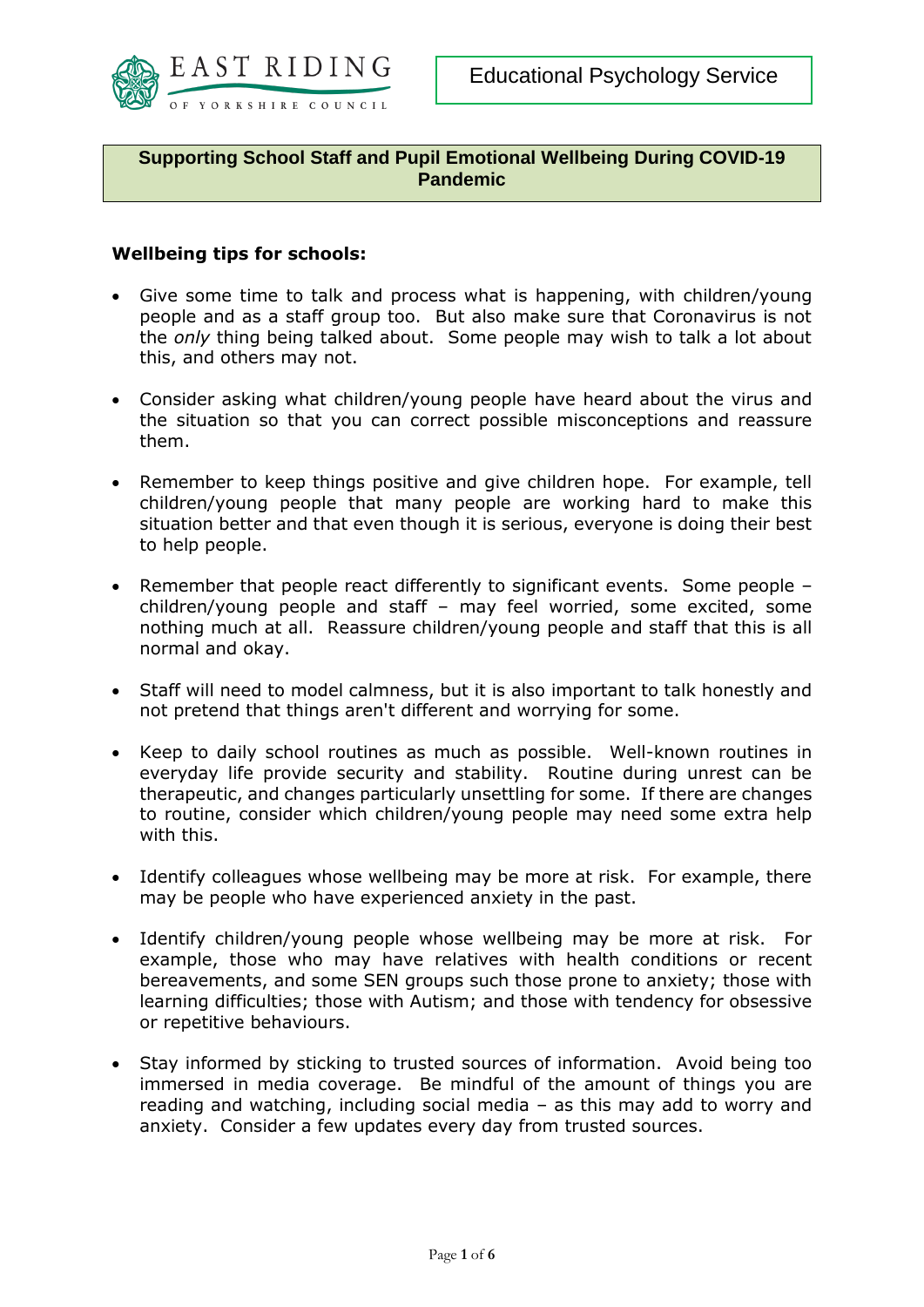

**Supporting School Staff and Pupil Emotional Wellbeing During COVID-19 Pandemic**

### **Wellbeing tips for schools:**

- Give some time to talk and process what is happening, with children/young people and as a staff group too. But also make sure that Coronavirus is not the *only* thing being talked about. Some people may wish to talk a lot about this, and others may not.
- Consider asking what children/young people have heard about the virus and the situation so that you can correct possible misconceptions and reassure them.
- Remember to keep things positive and give children hope. For example, tell children/young people that many people are working hard to make this situation better and that even though it is serious, everyone is doing their best to help people.
- Remember that people react differently to significant events. Some people children/young people and staff – may feel worried, some excited, some nothing much at all. Reassure children/young people and staff that this is all normal and okay.
- Staff will need to model calmness, but it is also important to talk honestly and not pretend that things aren't different and worrying for some.
- Keep to daily school routines as much as possible. Well-known routines in everyday life provide security and stability. Routine during unrest can be therapeutic, and changes particularly unsettling for some. If there are changes to routine, consider which children/young people may need some extra help with this.
- Identify colleagues whose wellbeing may be more at risk. For example, there may be people who have experienced anxiety in the past.
- Identify children/young people whose wellbeing may be more at risk. For example, those who may have relatives with health conditions or recent bereavements, and some SEN groups such those prone to anxiety; those with learning difficulties; those with Autism; and those with tendency for obsessive or repetitive behaviours.
- Stay informed by sticking to trusted sources of information. Avoid being too immersed in media coverage. Be mindful of the amount of things you are reading and watching, including social media – as this may add to worry and anxiety. Consider a few updates every day from trusted sources.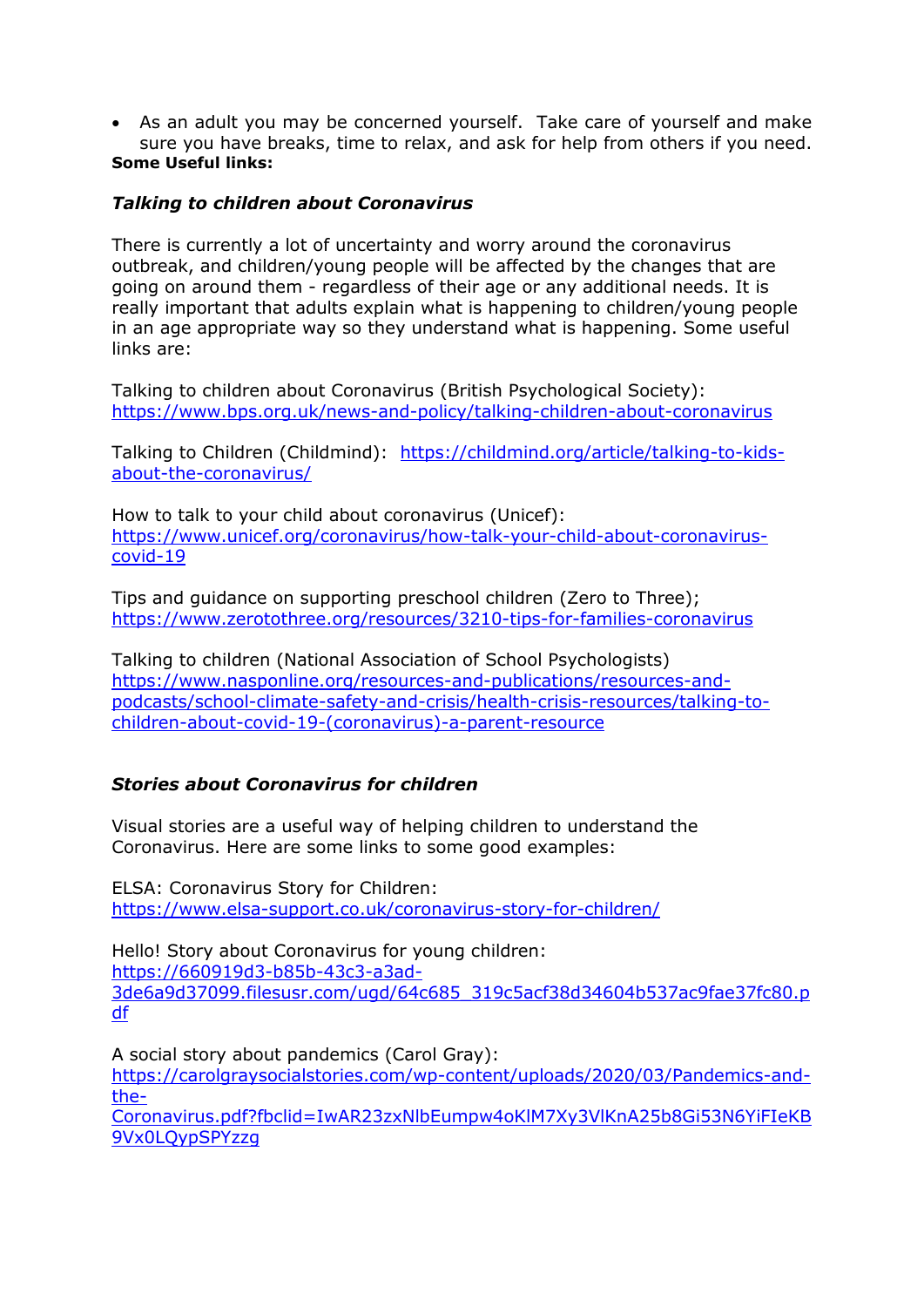As an adult you may be concerned yourself. Take care of yourself and make sure you have breaks, time to relax, and ask for help from others if you need. **Some Useful links:**

### *Talking to children about Coronavirus*

There is currently a lot of uncertainty and worry around the coronavirus outbreak, and children/young people will be affected by the changes that are going on around them - regardless of their age or any additional needs. It is really important that adults explain what is happening to children/young people in an age appropriate way so they understand what is happening. Some useful links are:

Talking to children about Coronavirus (British Psychological Society): <https://www.bps.org.uk/news-and-policy/talking-children-about-coronavirus>

Talking to Children (Childmind): [https://childmind.org/article/talking-to-kids](https://childmind.org/article/talking-to-kids-about-the-coronavirus/)[about-the-coronavirus/](https://childmind.org/article/talking-to-kids-about-the-coronavirus/)

How to talk to your child about coronavirus (Unicef): [https://www.unicef.org/coronavirus/how-talk-your-child-about-coronavirus](https://www.unicef.org/coronavirus/how-talk-your-child-about-coronavirus-covid-19)[covid-19](https://www.unicef.org/coronavirus/how-talk-your-child-about-coronavirus-covid-19)

Tips and guidance on supporting preschool children (Zero to Three); <https://www.zerotothree.org/resources/3210-tips-for-families-coronavirus>

Talking to children (National Association of School Psychologists) [https://www.nasponline.org/resources-and-publications/resources-and](https://www.nasponline.org/resources-and-publications/resources-and-podcasts/school-climate-safety-and-crisis/health-crisis-resources/talking-to-children-about-covid-19-(coronavirus)-a-parent-resource)[podcasts/school-climate-safety-and-crisis/health-crisis-resources/talking-to](https://www.nasponline.org/resources-and-publications/resources-and-podcasts/school-climate-safety-and-crisis/health-crisis-resources/talking-to-children-about-covid-19-(coronavirus)-a-parent-resource)[children-about-covid-19-\(coronavirus\)-a-parent-resource](https://www.nasponline.org/resources-and-publications/resources-and-podcasts/school-climate-safety-and-crisis/health-crisis-resources/talking-to-children-about-covid-19-(coronavirus)-a-parent-resource)

# *Stories about Coronavirus for children*

Visual stories are a useful way of helping children to understand the Coronavirus. Here are some links to some good examples:

ELSA: Coronavirus Story for Children: <https://www.elsa-support.co.uk/coronavirus-story-for-children/>

Hello! Story about Coronavirus for young children: [https://660919d3-b85b-43c3-a3ad-](https://660919d3-b85b-43c3-a3ad-3de6a9d37099.filesusr.com/ugd/64c685_319c5acf38d34604b537ac9fae37fc80.pdf)[3de6a9d37099.filesusr.com/ugd/64c685\\_319c5acf38d34604b537ac9fae37fc80.p](https://660919d3-b85b-43c3-a3ad-3de6a9d37099.filesusr.com/ugd/64c685_319c5acf38d34604b537ac9fae37fc80.pdf) [df](https://660919d3-b85b-43c3-a3ad-3de6a9d37099.filesusr.com/ugd/64c685_319c5acf38d34604b537ac9fae37fc80.pdf)

A social story about pandemics (Carol Gray): [https://carolgraysocialstories.com/wp-content/uploads/2020/03/Pandemics-and](https://carolgraysocialstories.com/wp-content/uploads/2020/03/Pandemics-and-the-Coronavirus.pdf?fbclid=IwAR23zxNlbEumpw4oKlM7Xy3VlKnA25b8Gi53N6YiFIeKB9Vx0LQypSPYzzg)[the-](https://carolgraysocialstories.com/wp-content/uploads/2020/03/Pandemics-and-the-Coronavirus.pdf?fbclid=IwAR23zxNlbEumpw4oKlM7Xy3VlKnA25b8Gi53N6YiFIeKB9Vx0LQypSPYzzg)[Coronavirus.pdf?fbclid=IwAR23zxNlbEumpw4oKlM7Xy3VlKnA25b8Gi53N6YiFIeKB](https://carolgraysocialstories.com/wp-content/uploads/2020/03/Pandemics-and-the-Coronavirus.pdf?fbclid=IwAR23zxNlbEumpw4oKlM7Xy3VlKnA25b8Gi53N6YiFIeKB9Vx0LQypSPYzzg)

[9Vx0LQypSPYzzg](https://carolgraysocialstories.com/wp-content/uploads/2020/03/Pandemics-and-the-Coronavirus.pdf?fbclid=IwAR23zxNlbEumpw4oKlM7Xy3VlKnA25b8Gi53N6YiFIeKB9Vx0LQypSPYzzg)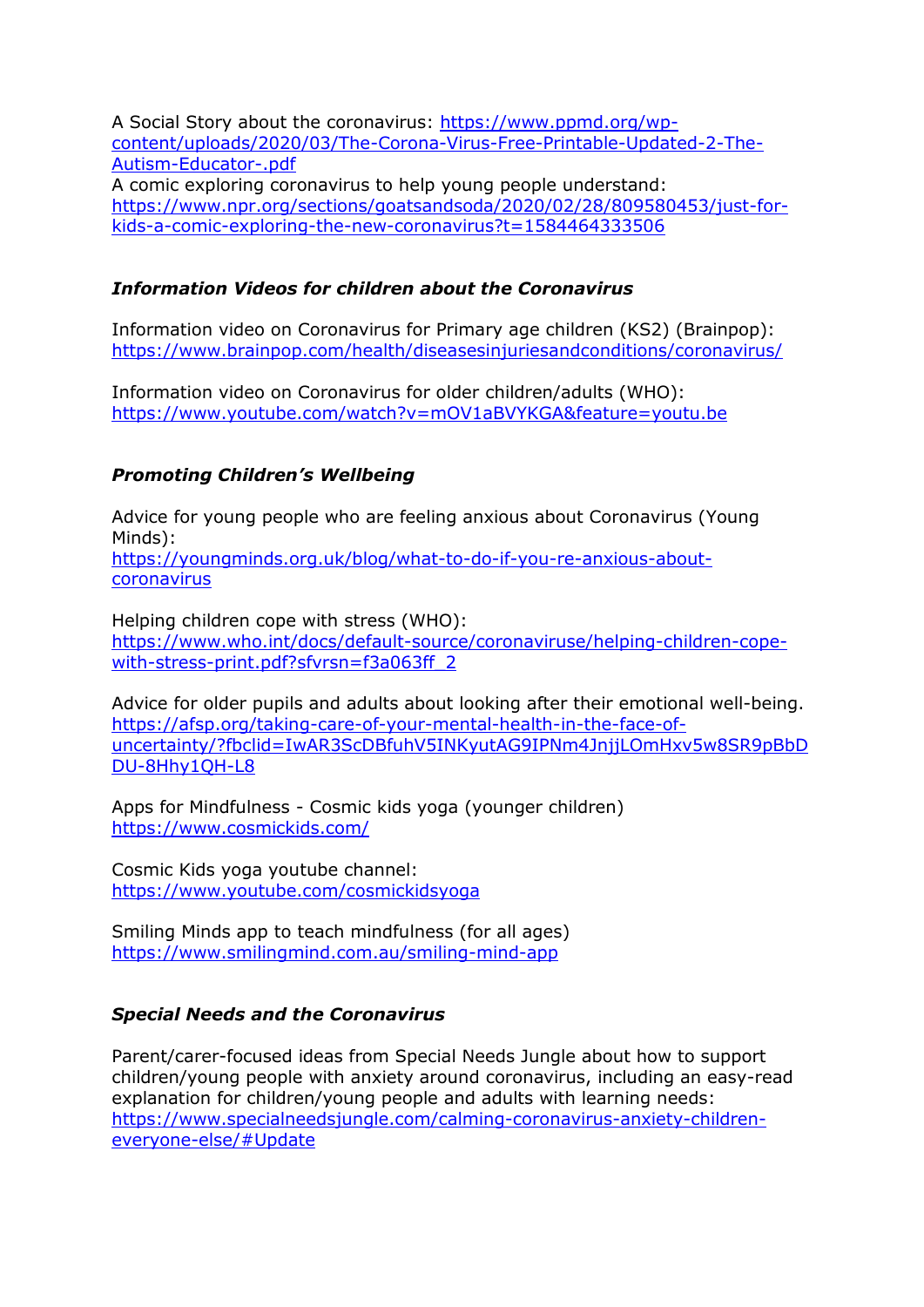A Social Story about the coronavirus: [https://www.ppmd.org/wp](https://www.ppmd.org/wp-content/uploads/2020/03/The-Corona-Virus-Free-Printable-Updated-2-The-Autism-Educator-.pdf)[content/uploads/2020/03/The-Corona-Virus-Free-Printable-Updated-2-The-](https://www.ppmd.org/wp-content/uploads/2020/03/The-Corona-Virus-Free-Printable-Updated-2-The-Autism-Educator-.pdf)[Autism-Educator-.pdf](https://www.ppmd.org/wp-content/uploads/2020/03/The-Corona-Virus-Free-Printable-Updated-2-The-Autism-Educator-.pdf) A comic exploring coronavirus to help young people understand: [https://www.npr.org/sections/goatsandsoda/2020/02/28/809580453/just-for](https://www.npr.org/sections/goatsandsoda/2020/02/28/809580453/just-for-kids-a-comic-exploring-the-new-coronavirus?t=1584464333506)[kids-a-comic-exploring-the-new-coronavirus?t=1584464333506](https://www.npr.org/sections/goatsandsoda/2020/02/28/809580453/just-for-kids-a-comic-exploring-the-new-coronavirus?t=1584464333506)

### *Information Videos for children about the Coronavirus*

Information video on Coronavirus for Primary age children (KS2) (Brainpop): <https://www.brainpop.com/health/diseasesinjuriesandconditions/coronavirus/>

Information video on Coronavirus for older children/adults (WHO): <https://www.youtube.com/watch?v=mOV1aBVYKGA&feature=youtu.be>

## *Promoting Children's Wellbeing*

Advice for young people who are feeling anxious about Coronavirus (Young Minds): [https://youngminds.org.uk/blog/what-to-do-if-you-re-anxious-about](https://youngminds.org.uk/blog/what-to-do-if-you-re-anxious-about-coronavirus)[coronavirus](https://youngminds.org.uk/blog/what-to-do-if-you-re-anxious-about-coronavirus)

Helping children cope with stress (WHO): [https://www.who.int/docs/default-source/coronaviruse/helping-children-cope](https://www.who.int/docs/default-source/coronaviruse/helping-children-cope-with-stress-print.pdf?sfvrsn=f3a063ff_2)[with-stress-print.pdf?sfvrsn=f3a063ff\\_2](https://www.who.int/docs/default-source/coronaviruse/helping-children-cope-with-stress-print.pdf?sfvrsn=f3a063ff_2)

Advice for older pupils and adults about looking after their emotional well-being. [https://afsp.org/taking-care-of-your-mental-health-in-the-face-of](https://protect-eu.mimecast.com/s/YopdC2Rmmup5knVs8RiGx?domain=afsp.org)[uncertainty/?fbclid=IwAR3ScDBfuhV5INKyutAG9IPNm4JnjjLOmHxv5w8SR9pBbD](https://protect-eu.mimecast.com/s/YopdC2Rmmup5knVs8RiGx?domain=afsp.org) [DU-8Hhy1QH-L8](https://protect-eu.mimecast.com/s/YopdC2Rmmup5knVs8RiGx?domain=afsp.org) 

Apps for Mindfulness - Cosmic kids yoga (younger children) <https://www.cosmickids.com/>

Cosmic Kids yoga youtube channel: <https://www.youtube.com/cosmickidsyoga>

Smiling Minds app to teach mindfulness (for all ages) <https://www.smilingmind.com.au/smiling-mind-app>

### *Special Needs and the Coronavirus*

Parent/carer-focused ideas from Special Needs Jungle about how to support children/young people with anxiety around coronavirus, including an easy-read explanation for children/young people and adults with learning needs: [https://www.specialneedsjungle.com/calming-coronavirus-anxiety-children](https://protect-eu.mimecast.com/s/VurAC3lnncpDmLXszuWKM?domain=specialneedsjungle.com)[everyone-else/#Update](https://protect-eu.mimecast.com/s/VurAC3lnncpDmLXszuWKM?domain=specialneedsjungle.com)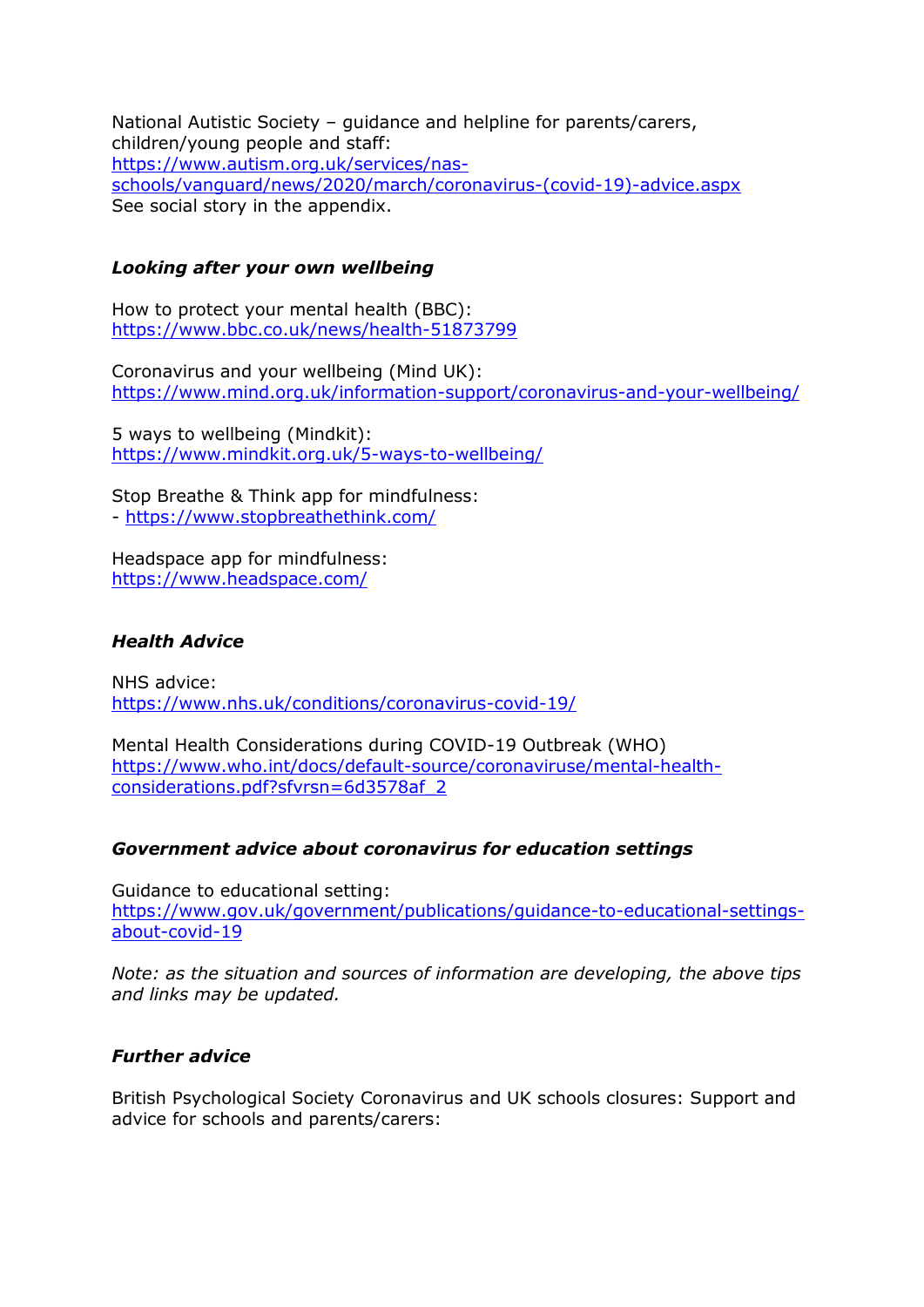National Autistic Society – guidance and helpline for parents/carers, children/young people and staff: [https://www.autism.org.uk/services/nas](https://eur02.safelinks.protection.outlook.com/?url=https%3A%2F%2Fwww.autism.org.uk%2Fservices%2Fnas-schools%2Fvanguard%2Fnews%2F2020%2Fmarch%2Fcoronavirus-(covid-19)-advice.aspx&data=02%7C01%7CAAllard%40ncb.org.uk%7C7d078078e21d4611dba808d7cb45bcbd%7Cadc87355e29c4519954f95e35c776178%7C0%7C0%7C637201372684920098&sdata=X0p0IpfwmQXowcaQVRflamskU%2FNmdKpAYqUIn6RYxjI%3D&reserved=0)[schools/vanguard/news/2020/march/coronavirus-\(covid-19\)-advice.aspx](https://eur02.safelinks.protection.outlook.com/?url=https%3A%2F%2Fwww.autism.org.uk%2Fservices%2Fnas-schools%2Fvanguard%2Fnews%2F2020%2Fmarch%2Fcoronavirus-(covid-19)-advice.aspx&data=02%7C01%7CAAllard%40ncb.org.uk%7C7d078078e21d4611dba808d7cb45bcbd%7Cadc87355e29c4519954f95e35c776178%7C0%7C0%7C637201372684920098&sdata=X0p0IpfwmQXowcaQVRflamskU%2FNmdKpAYqUIn6RYxjI%3D&reserved=0) See social story in the appendix.

### *Looking after your own wellbeing*

How to protect your mental health (BBC): <https://www.bbc.co.uk/news/health-51873799>

Coronavirus and your wellbeing (Mind UK): <https://www.mind.org.uk/information-support/coronavirus-and-your-wellbeing/>

5 ways to wellbeing (Mindkit): <https://www.mindkit.org.uk/5-ways-to-wellbeing/>

Stop Breathe & Think app for mindfulness: - <https://www.stopbreathethink.com/>

Headspace app for mindfulness: <https://www.headspace.com/>

## *Health Advice*

NHS advice: <https://www.nhs.uk/conditions/coronavirus-covid-19/>

Mental Health Considerations during COVID-19 Outbreak (WHO) [https://www.who.int/docs/default-source/coronaviruse/mental-health](https://www.who.int/docs/default-source/coronaviruse/mental-health-considerations.pdf?sfvrsn=6d3578af_2)[considerations.pdf?sfvrsn=6d3578af\\_2](https://www.who.int/docs/default-source/coronaviruse/mental-health-considerations.pdf?sfvrsn=6d3578af_2)

### *Government advice about coronavirus for education settings*

Guidance to educational setting: [https://www.gov.uk/government/publications/guidance-to-educational-settings](https://www.gov.uk/government/publications/guidance-to-educational-settings-about-covid-19)[about-covid-19](https://www.gov.uk/government/publications/guidance-to-educational-settings-about-covid-19)

*Note: as the situation and sources of information are developing, the above tips and links may be updated.*

### *Further advice*

British Psychological Society Coronavirus and UK schools closures: Support and advice for schools and parents/carers: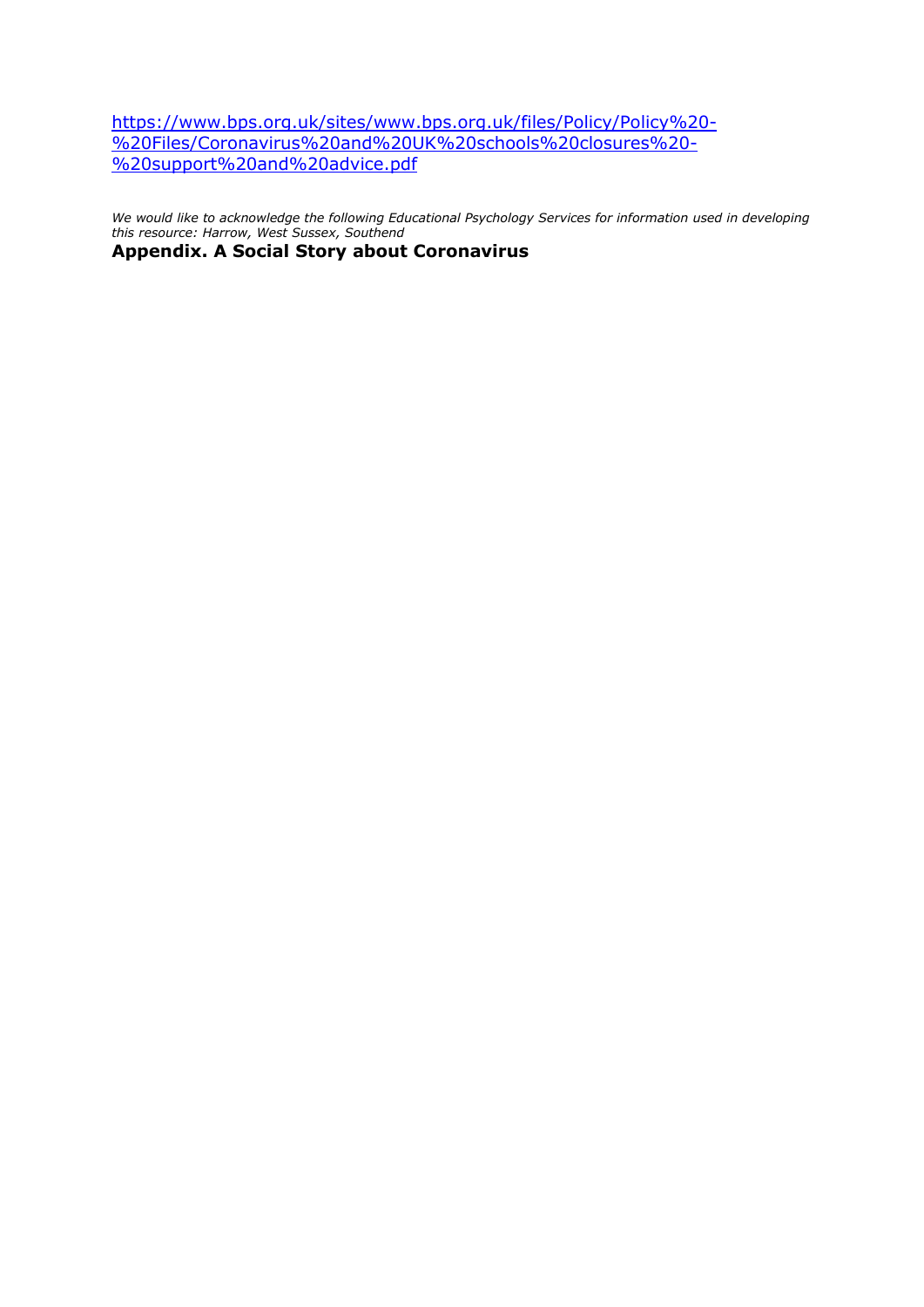[https://www.bps.org.uk/sites/www.bps.org.uk/files/Policy/Policy%20-](https://www.bps.org.uk/sites/www.bps.org.uk/files/Policy/Policy%20-%20Files/Coronavirus%20and%20UK%20schools%20closures%20-%20support%20and%20advice.pdf) [%20Files/Coronavirus%20and%20UK%20schools%20closures%20-](https://www.bps.org.uk/sites/www.bps.org.uk/files/Policy/Policy%20-%20Files/Coronavirus%20and%20UK%20schools%20closures%20-%20support%20and%20advice.pdf) [%20support%20and%20advice.pdf](https://www.bps.org.uk/sites/www.bps.org.uk/files/Policy/Policy%20-%20Files/Coronavirus%20and%20UK%20schools%20closures%20-%20support%20and%20advice.pdf)

*We would like to acknowledge the following Educational Psychology Services for information used in developing this resource: Harrow, West Sussex, Southend*

**Appendix. A Social Story about Coronavirus**